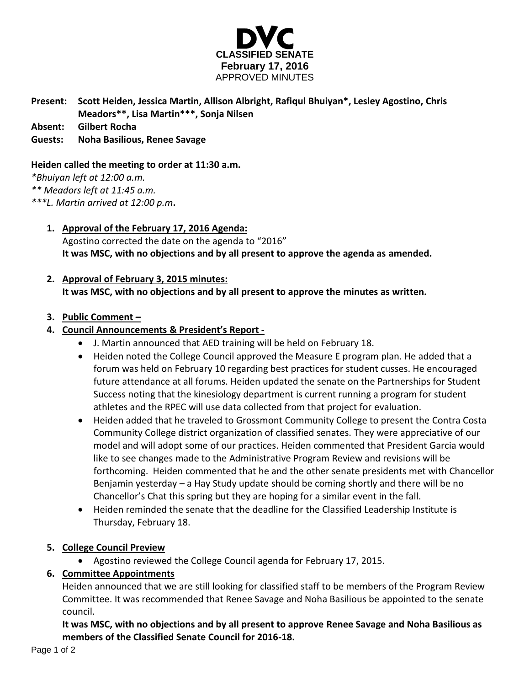

# **Present: Scott Heiden, Jessica Martin, Allison Albright, Rafiqul Bhuiyan\*, Lesley Agostino, Chris Meadors\*\*, Lisa Martin\*\*\*, Sonja Nilsen**

**Absent: Gilbert Rocha**

#### **Guests: Noha Basilious, Renee Savage**

#### **Heiden called the meeting to order at 11:30 a.m.**

*\*Bhuiyan left at 12:00 a.m.*

*\*\* Meadors left at 11:45 a.m.*

*\*\*\*L. Martin arrived at 12:00 p.m***.**

### **1. Approval of the February 17, 2016 Agenda:**

Agostino corrected the date on the agenda to "2016" **It was MSC, with no objections and by all present to approve the agenda as amended.**

# **2. Approval of February 3, 2015 minutes: It was MSC, with no objections and by all present to approve the minutes as written.**

#### **3. Public Comment –**

### **4. Council Announcements & President's Report -**

- J. Martin announced that AED training will be held on February 18.
- Heiden noted the College Council approved the Measure E program plan. He added that a forum was held on February 10 regarding best practices for student cusses. He encouraged future attendance at all forums. Heiden updated the senate on the Partnerships for Student Success noting that the kinesiology department is current running a program for student athletes and the RPEC will use data collected from that project for evaluation.
- Heiden added that he traveled to Grossmont Community College to present the Contra Costa Community College district organization of classified senates. They were appreciative of our model and will adopt some of our practices. Heiden commented that President Garcia would like to see changes made to the Administrative Program Review and revisions will be forthcoming. Heiden commented that he and the other senate presidents met with Chancellor Benjamin yesterday – a Hay Study update should be coming shortly and there will be no Chancellor's Chat this spring but they are hoping for a similar event in the fall.
- Heiden reminded the senate that the deadline for the Classified Leadership Institute is Thursday, February 18.

#### **5. College Council Preview**

Agostino reviewed the College Council agenda for February 17, 2015.

# **6. Committee Appointments**

Heiden announced that we are still looking for classified staff to be members of the Program Review Committee. It was recommended that Renee Savage and Noha Basilious be appointed to the senate council.

**It was MSC, with no objections and by all present to approve Renee Savage and Noha Basilious as members of the Classified Senate Council for 2016-18.**